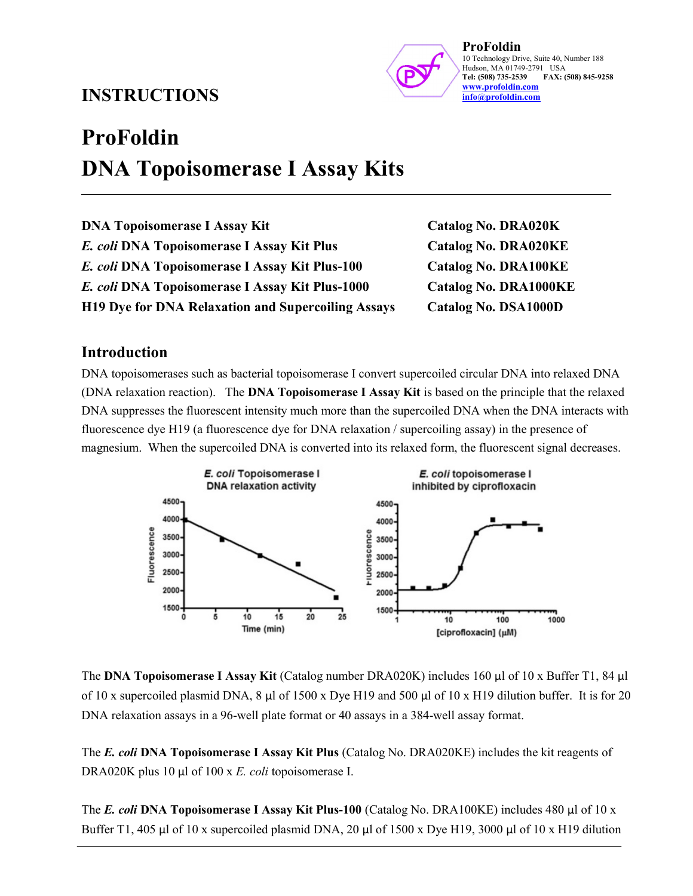## INSTRUCTIONS



ProFoldin 10 Technology Drive, Suite 40, Number 188 Hudson, MA 01749-2791 USA<br>Tel: (508) 735-2539 FAX: FAX: (508) 845-9258 www.profoldin.com info@profoldin.com

# ProFoldin DNA Topoisomerase I Assay Kits

| <b>DNA Topoisomerase I Assay Kit</b>                      |
|-----------------------------------------------------------|
| E. coli DNA Topoisomerase I Assay Kit Plus                |
| E. coli DNA Topoisomerase I Assay Kit Plus-100            |
| E. coli DNA Topoisomerase I Assay Kit Plus-1000           |
| <b>H19 Dve for DNA Relaxation and Supercoiling Assays</b> |

Catalog No. DRA020K Catalog No. DRA020KE Catalog No. DRA100KE Catalog No. DRA1000KE Catalog No. DSA1000D

### Introduction

DNA topoisomerases such as bacterial topoisomerase I convert supercoiled circular DNA into relaxed DNA (DNA relaxation reaction). The DNA Topoisomerase I Assay Kit is based on the principle that the relaxed DNA suppresses the fluorescent intensity much more than the supercoiled DNA when the DNA interacts with fluorescence dye H19 (a fluorescence dye for DNA relaxation / supercoiling assay) in the presence of magnesium. When the supercoiled DNA is converted into its relaxed form, the fluorescent signal decreases.



The DNA Topoisomerase I Assay Kit (Catalog number DRA020K) includes 160 µl of 10 x Buffer T1, 84 µl of 10 x supercoiled plasmid DNA,  $8 \mu$  of 1500 x Dye H19 and 500  $\mu$  of 10 x H19 dilution buffer. It is for 20 DNA relaxation assays in a 96-well plate format or 40 assays in a 384-well assay format.

The E. coli DNA Topoisomerase I Assay Kit Plus (Catalog No. DRA020KE) includes the kit reagents of DRA020K plus 10 µl of 100 x E. coli topoisomerase I.

The E. coli DNA Topoisomerase I Assay Kit Plus-100 (Catalog No. DRA100KE) includes 480 µl of 10 x Buffer T1, 405 µl of 10 x supercoiled plasmid DNA, 20 µl of 1500 x Dye H19, 3000 µl of 10 x H19 dilution